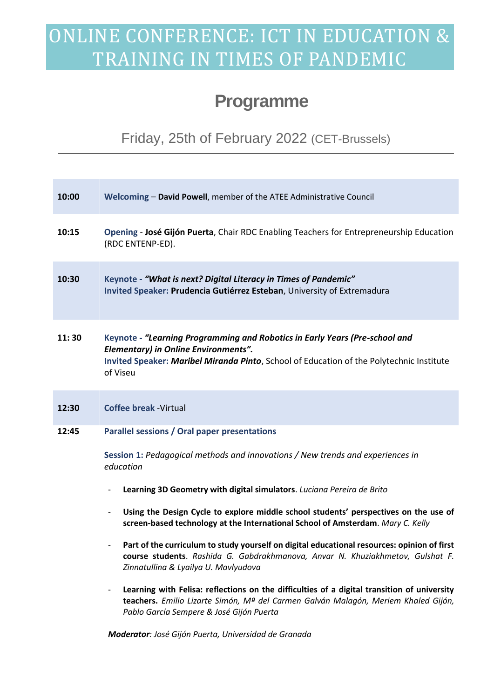## ONLINE CONFERENCE: ICT IN EDUCATION & TRAINING IN TIMES OF PANDEMIC

## **Programme**

Friday, 25th of February 2022 (CET-Brussels)

| 10:00 | Welcoming - David Powell, member of the ATEE Administrative Council                                                                                                                                                                                                                                                                                                                                                                                                                                                                                                                                                                                                                                                                                                                                                                                                    |
|-------|------------------------------------------------------------------------------------------------------------------------------------------------------------------------------------------------------------------------------------------------------------------------------------------------------------------------------------------------------------------------------------------------------------------------------------------------------------------------------------------------------------------------------------------------------------------------------------------------------------------------------------------------------------------------------------------------------------------------------------------------------------------------------------------------------------------------------------------------------------------------|
| 10:15 | Opening - José Gijón Puerta, Chair RDC Enabling Teachers for Entrepreneurship Education<br>(RDC ENTENP-ED).                                                                                                                                                                                                                                                                                                                                                                                                                                                                                                                                                                                                                                                                                                                                                            |
| 10:30 | Keynote - "What is next? Digital Literacy in Times of Pandemic"<br>Invited Speaker: Prudencia Gutiérrez Esteban, University of Extremadura                                                                                                                                                                                                                                                                                                                                                                                                                                                                                                                                                                                                                                                                                                                             |
| 11:30 | Keynote - "Learning Programming and Robotics in Early Years (Pre-school and<br><b>Elementary) in Online Environments".</b><br>Invited Speaker: Maribel Miranda Pinto, School of Education of the Polytechnic Institute<br>of Viseu                                                                                                                                                                                                                                                                                                                                                                                                                                                                                                                                                                                                                                     |
| 12:30 | <b>Coffee break - Virtual</b>                                                                                                                                                                                                                                                                                                                                                                                                                                                                                                                                                                                                                                                                                                                                                                                                                                          |
| 12:45 | Parallel sessions / Oral paper presentations<br>Session 1: Pedagogical methods and innovations / New trends and experiences in<br>education<br>Learning 3D Geometry with digital simulators. Luciana Pereira de Brito<br>$\overline{\phantom{0}}$<br>Using the Design Cycle to explore middle school students' perspectives on the use of<br>$\overline{\phantom{a}}$<br>screen-based technology at the International School of Amsterdam. Mary C. Kelly<br>Part of the curriculum to study yourself on digital educational resources: opinion of first<br>course students. Rashida G. Gabdrakhmanova, Anvar N. Khuziakhmetov, Gulshat F.<br>Zinnatullina & Lyailya U. Mavlyudova<br>Learning with Felisa: reflections on the difficulties of a digital transition of university<br>teachers. Emilio Lizarte Simón, Mª del Carmen Galván Malagón, Meriem Khaled Gijón, |
|       | Pablo García Sempere & José Gijón Puerta                                                                                                                                                                                                                                                                                                                                                                                                                                                                                                                                                                                                                                                                                                                                                                                                                               |

*Moderator: José Gijón Puerta, Universidad de Granada*